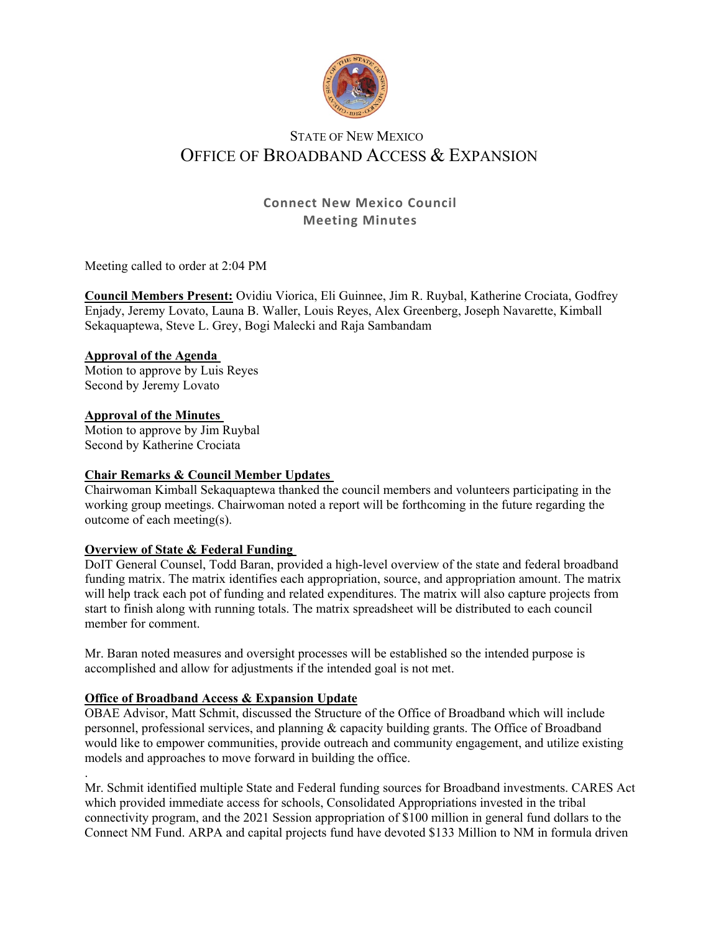

# STATE OF NEW MEXICO OFFICE OF BROADBAND ACCESS & EXPANSION

# **Connect New Mexico Council Meeting Minutes**

Meeting called to order at 2:04 PM

**Council Members Present:** Ovidiu Viorica, Eli Guinnee, Jim R. Ruybal, Katherine Crociata, Godfrey Enjady, Jeremy Lovato, Launa B. Waller, Louis Reyes, Alex Greenberg, Joseph Navarette, Kimball Sekaquaptewa, Steve L. Grey, Bogi Malecki and Raja Sambandam

#### **Approval of the Agenda**

Motion to approve by Luis Reyes Second by Jeremy Lovato

#### **Approval of the Minutes**

Motion to approve by Jim Ruybal Second by Katherine Crociata

# **Chair Remarks & Council Member Updates**

Chairwoman Kimball Sekaquaptewa thanked the council members and volunteers participating in the working group meetings. Chairwoman noted a report will be forthcoming in the future regarding the outcome of each meeting(s).

# **Overview of State & Federal Funding**

DoIT General Counsel, Todd Baran, provided a high-level overview of the state and federal broadband funding matrix. The matrix identifies each appropriation, source, and appropriation amount. The matrix will help track each pot of funding and related expenditures. The matrix will also capture projects from start to finish along with running totals. The matrix spreadsheet will be distributed to each council member for comment.

Mr. Baran noted measures and oversight processes will be established so the intended purpose is accomplished and allow for adjustments if the intended goal is not met.

# **Office of Broadband Access & Expansion Update**

OBAE Advisor, Matt Schmit, discussed the Structure of the Office of Broadband which will include personnel, professional services, and planning & capacity building grants. The Office of Broadband would like to empower communities, provide outreach and community engagement, and utilize existing models and approaches to move forward in building the office.

. Mr. Schmit identified multiple State and Federal funding sources for Broadband investments. CARES Act which provided immediate access for schools, Consolidated Appropriations invested in the tribal connectivity program, and the 2021 Session appropriation of \$100 million in general fund dollars to the Connect NM Fund. ARPA and capital projects fund have devoted \$133 Million to NM in formula driven